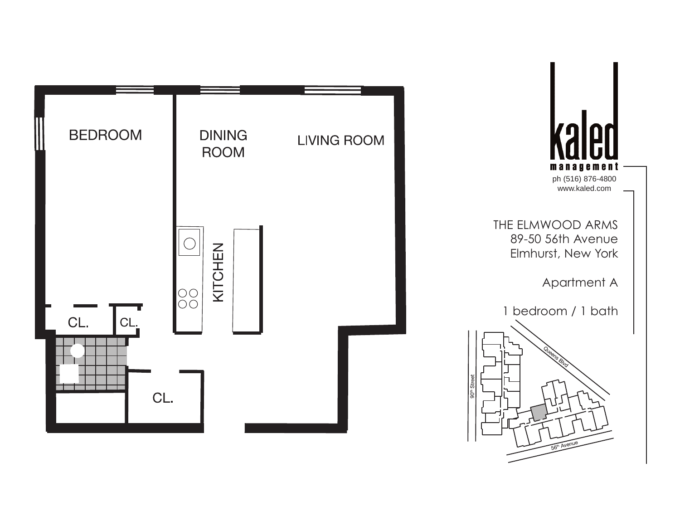

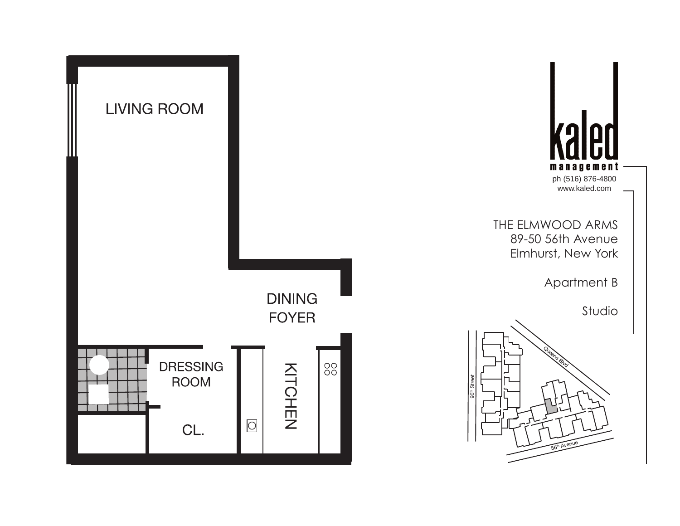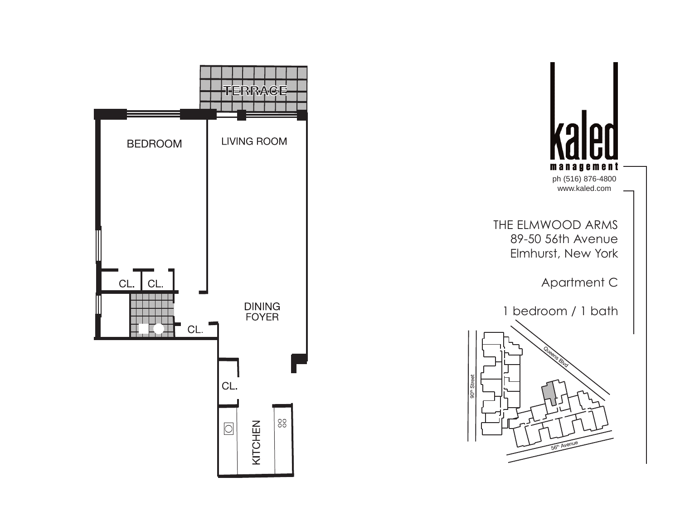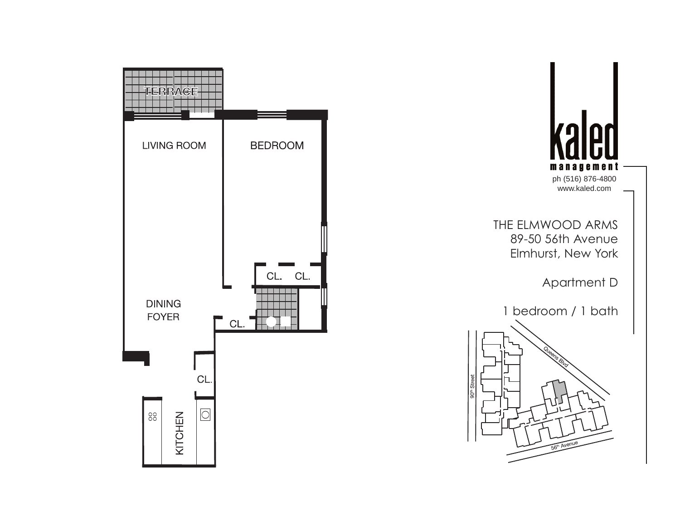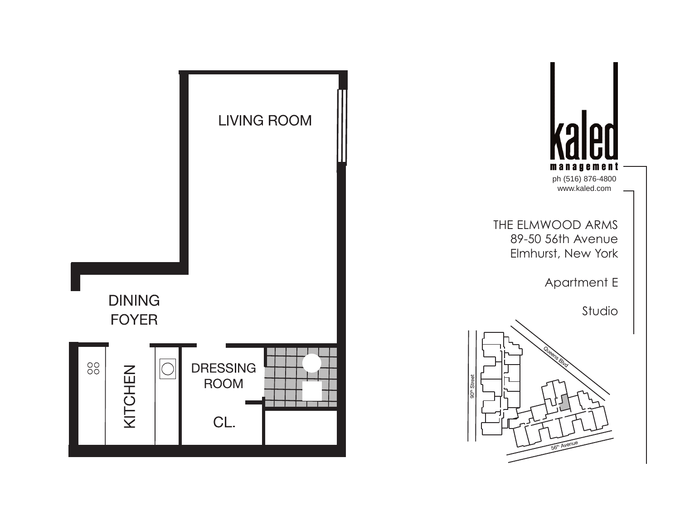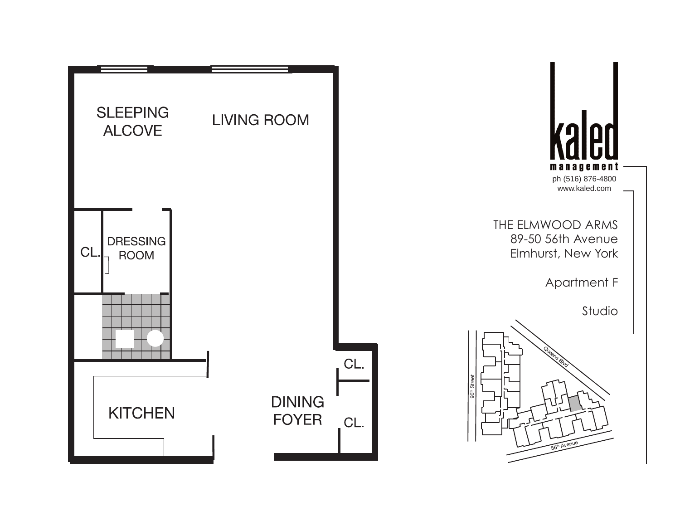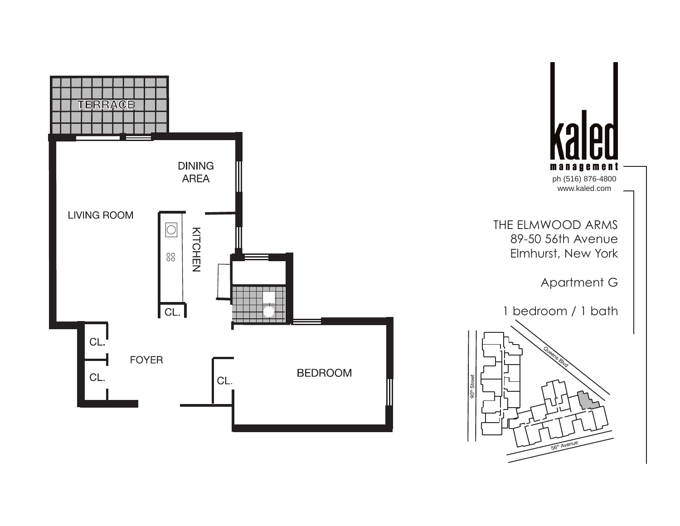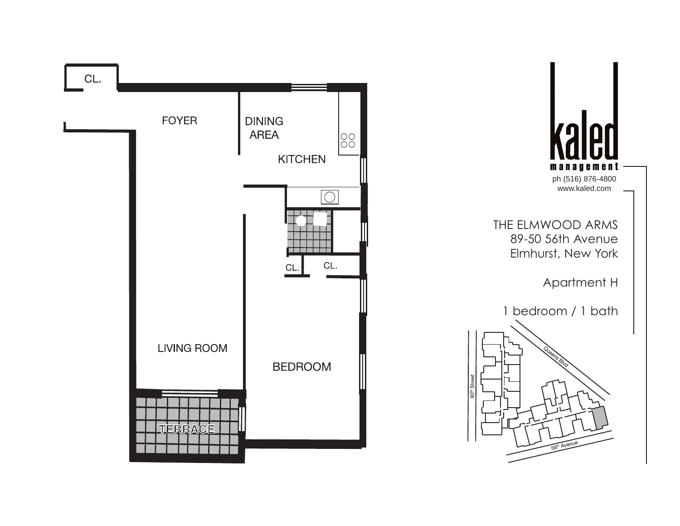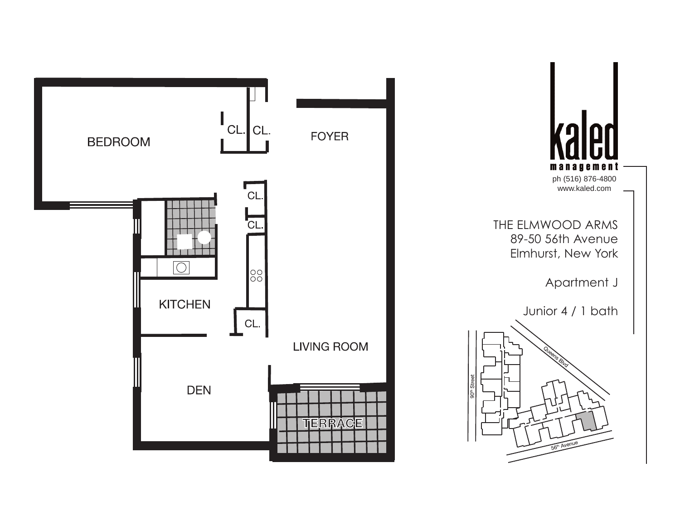

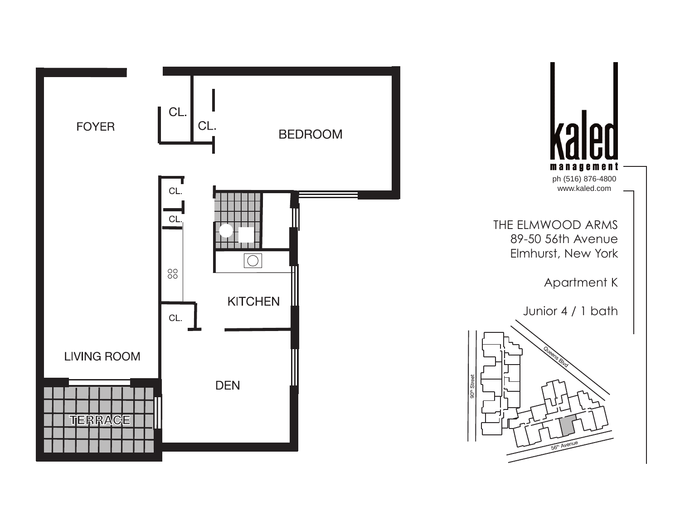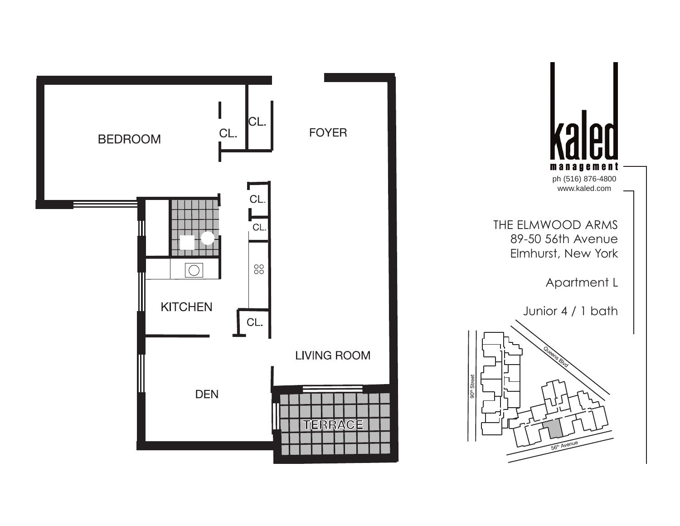

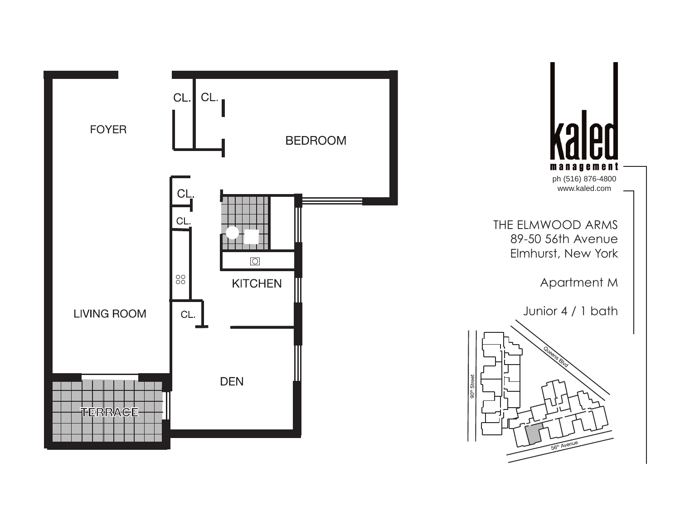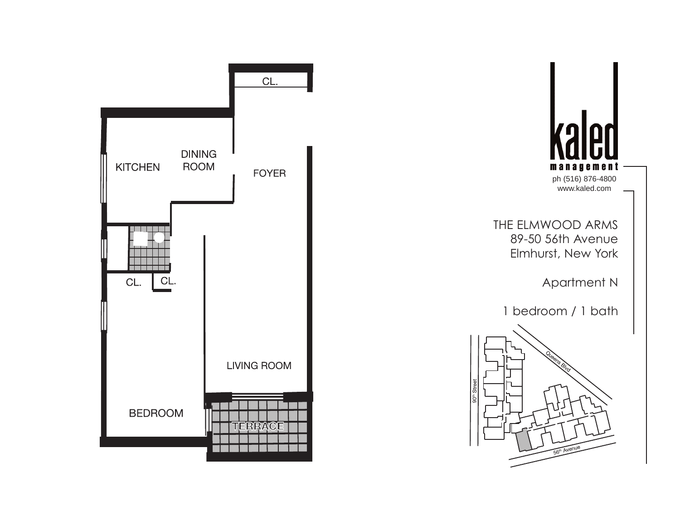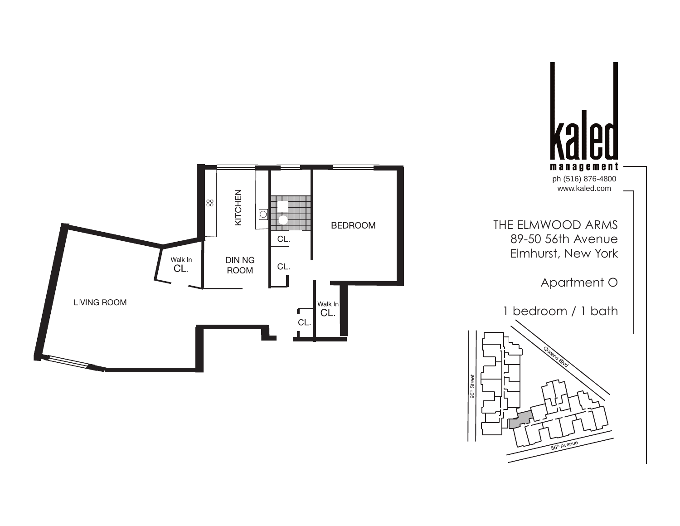

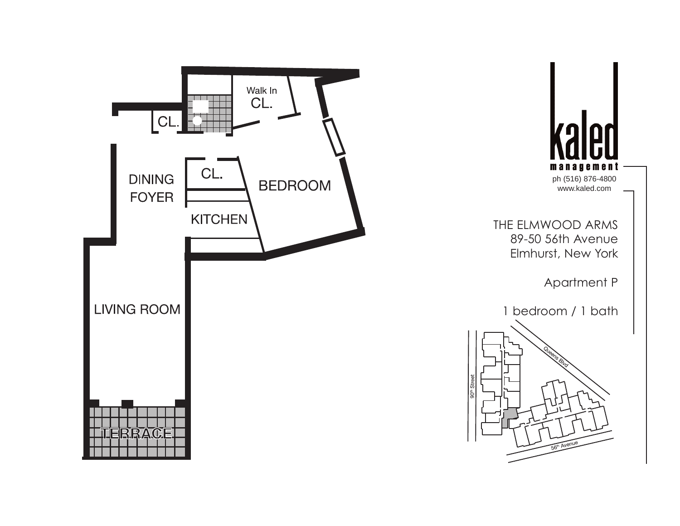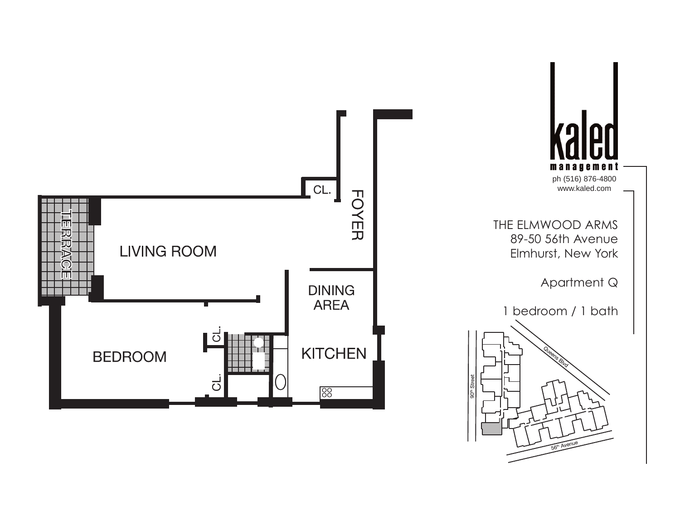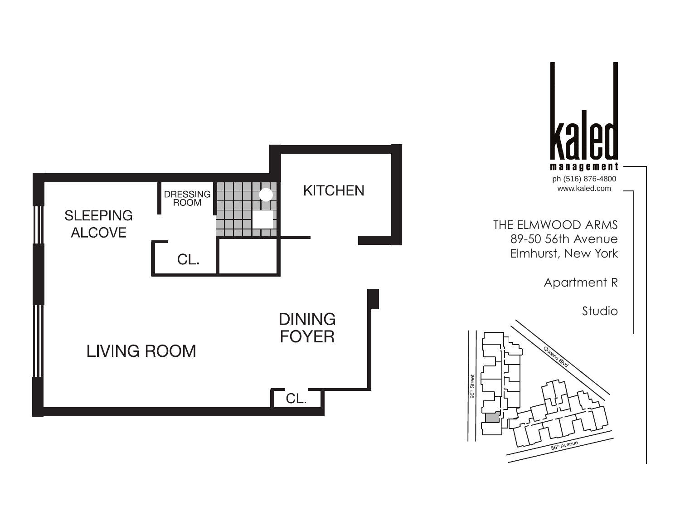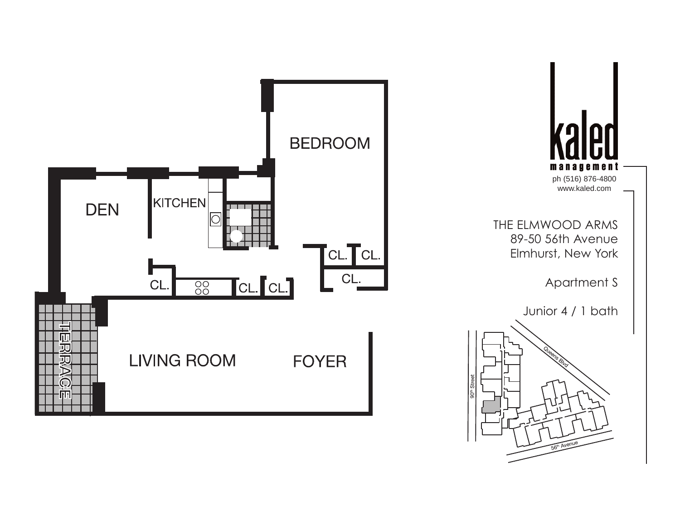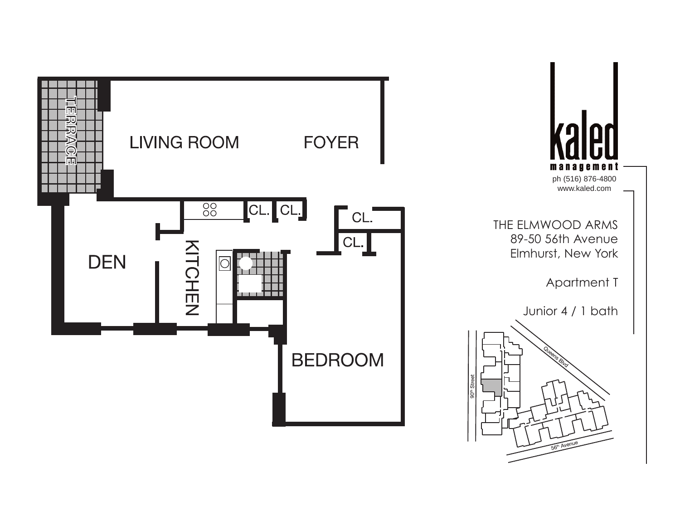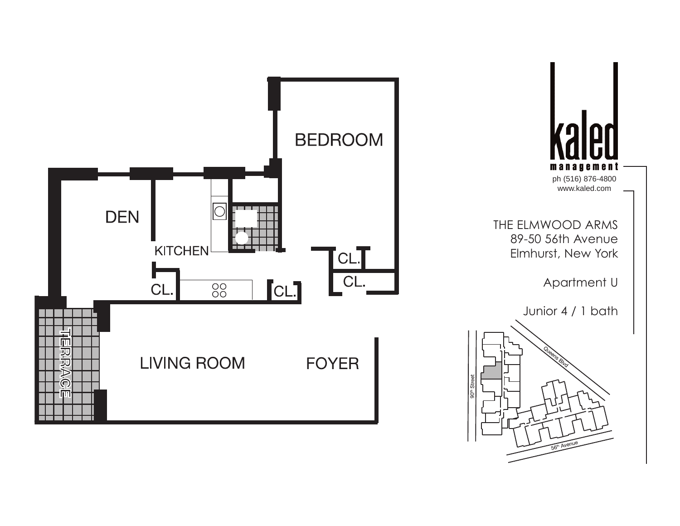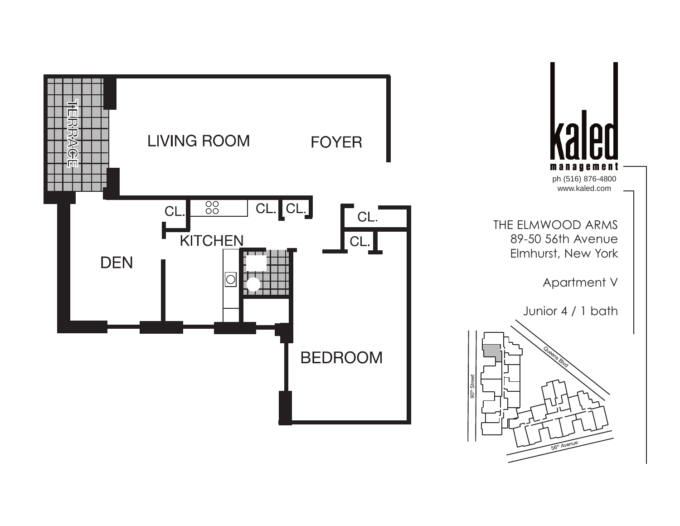![](_page_20_Figure_0.jpeg)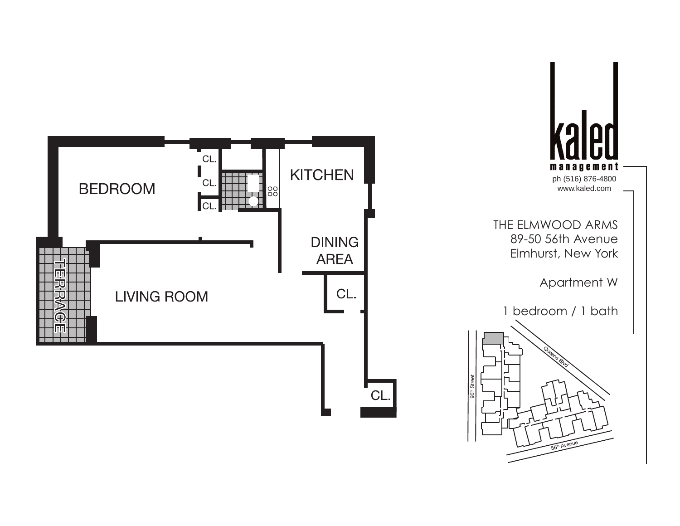![](_page_21_Figure_0.jpeg)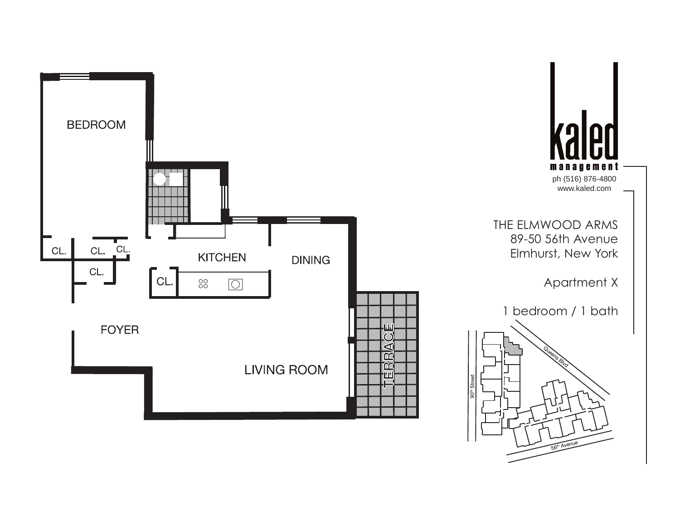![](_page_22_Figure_0.jpeg)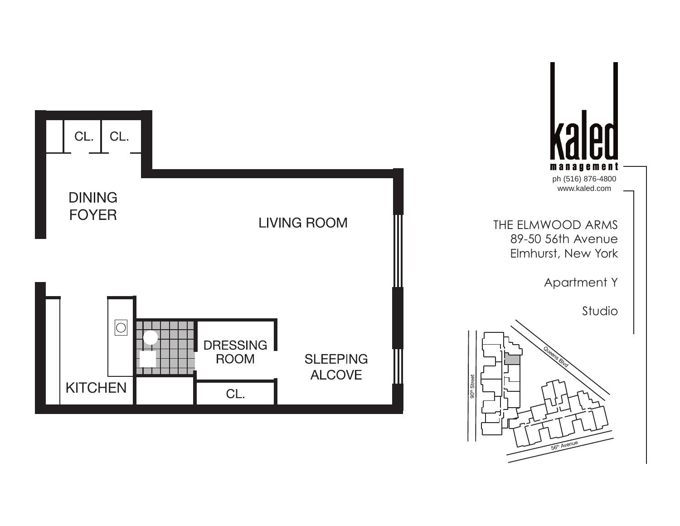![](_page_23_Figure_0.jpeg)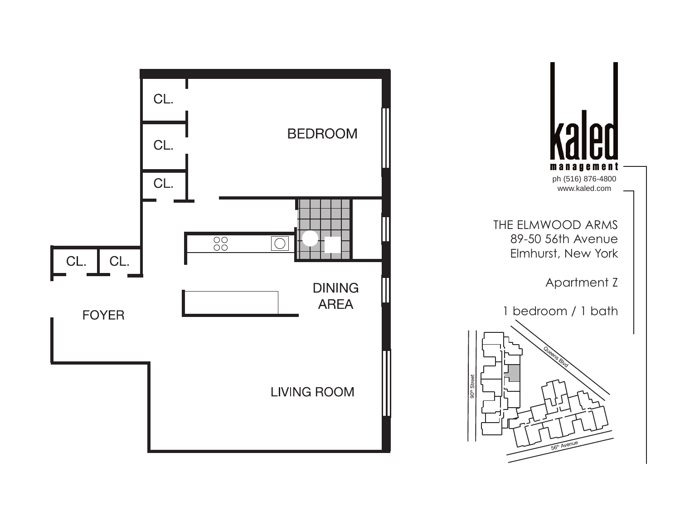![](_page_24_Figure_0.jpeg)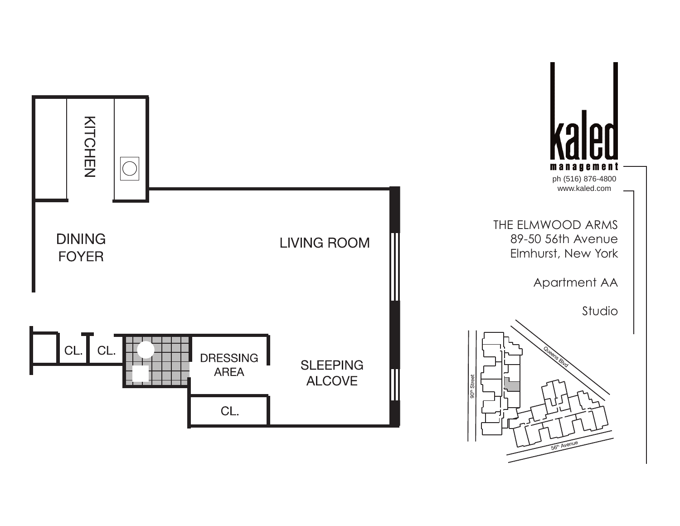![](_page_25_Figure_0.jpeg)